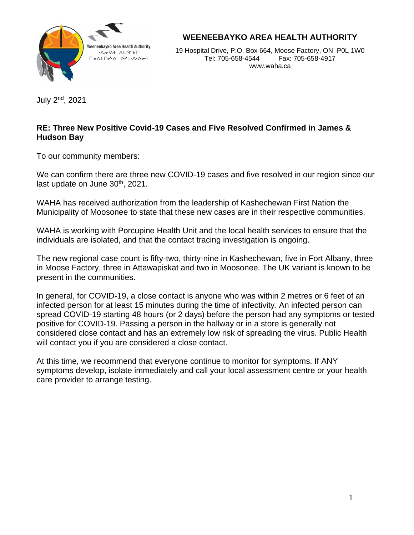

**WEENEEBAYKO AREA HEALTH AUTHORITY**

19 Hospital Drive, P.O. Box 664, Moose Factory, ON P0L 1W0 Tel: 705-658-4544 Fax: 705-658-4917 www.waha.ca

July 2nd, 2021

## **RE: Three New Positive Covid-19 Cases and Five Resolved Confirmed in James & Hudson Bay**

To our community members:

We can confirm there are three new COVID-19 cases and five resolved in our region since our last update on June 30<sup>th</sup>, 2021.

WAHA has received authorization from the leadership of Kashechewan First Nation the Municipality of Moosonee to state that these new cases are in their respective communities.

WAHA is working with Porcupine Health Unit and the local health services to ensure that the individuals are isolated, and that the contact tracing investigation is ongoing.

The new regional case count is fifty-two, thirty-nine in Kashechewan, five in Fort Albany, three in Moose Factory, three in Attawapiskat and two in Moosonee. The UK variant is known to be present in the communities.

In general, for COVID-19, a close contact is anyone who was within 2 metres or 6 feet of an infected person for at least 15 minutes during the time of infectivity. An infected person can spread COVID-19 starting 48 hours (or 2 days) before the person had any symptoms or tested positive for COVID-19. Passing a person in the hallway or in a store is generally not considered close contact and has an extremely low risk of spreading the virus. Public Health will contact you if you are considered a close contact.

At this time, we recommend that everyone continue to monitor for symptoms. If ANY symptoms develop, isolate immediately and call your local assessment centre or your health care provider to arrange testing.